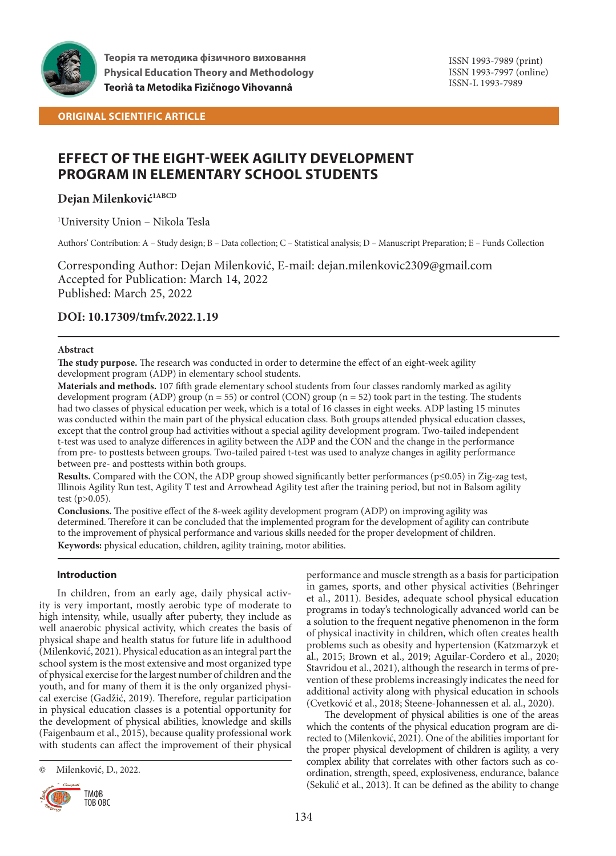

# **ORIGINAL SCIENTIFIC ARTICLE**

# **EFFECT OF THE EIGHT-WEEK AGILITY DEVELOPMENT PROGRAM IN ELEMENTARY SCHOOL STUDENTS**

# Dejan Milenković<sup>1ABCD</sup>

1 University Union – Nikola Tesla

Authors' Contribution: A – Study design; B – Data collection; C – Statistical analysis; D – Manuscript Preparation; E – Funds Collection

Corresponding Author: Dejan Milenković, E-mail: dejan.milenkovic2309@gmail.com Accepted for Publication: March 14, 2022 Published: March 25, 2022

# **DOI: 10.17309/tmfv.2022.1.19**

# **Abstract**

**The study purpose.** The research was conducted in order to determine the effect of an eight-week agility development program (ADP) in elementary school students.

**Materials and methods.** 107 fifth grade elementary school students from four classes randomly marked as agility development program (ADP) group ( $n = 55$ ) or control (CON) group ( $n = 52$ ) took part in the testing. The students had two classes of physical education per week, which is a total of 16 classes in eight weeks. ADP lasting 15 minutes was conducted within the main part of the physical education class. Both groups attended physical education classes, except that the control group had activities without a special agility development program. Two-tailed independent t-test was used to analyze differences in agility between the ADP and the CON and the change in the performance from pre- to posttests between groups. Two-tailed paired t-test was used to analyze changes in agility performance between pre- and posttests within both groups.

**Results.** Compared with the CON, the ADP group showed significantly better performances (p≤0.05) in Zig-zag test, Illinois Agility Run test, Agility T test and Arrowhead Agility test after the training period, but not in Balsom agility test  $(p>0.05)$ .

**Conclusions.** The positive effect of the 8-week agility development program (ADP) on improving agility was determined. Therefore it can be concluded that the implemented program for the development of agility can contribute to the improvement of physical performance and various skills needed for the proper development of children. **Keywords:** physical education, children, agility training, motor abilities.

# **Introduction**

In children, from an early age, daily physical activity is very important, mostly aerobic type of moderate to high intensity, while, usually after puberty, they include as well anaerobic physical activity, which creates the basis of physical shape and health status for future life in adulthood (Milenković, 2021). Physical education as an integral part the school system is the most extensive and most organized type of physical exercise for the largest number of children and the youth, and for many of them it is the only organized physical exercise (Gadžić, 2019). Therefore, regular participation in physical education classes is a potential opportunity for the development of physical abilities, knowledge and skills (Faigenbaum et al., 2015), because quality professional work with students can affect the improvement of their physical

© Milenković, D., 2022.



performance and muscle strength as a basis for participation in games, sports, and other physical activities (Behringer et al., 2011). Besides, adequate school physical education programs in today's technologically advanced world can be a solution to the frequent negative phenomenon in the form of physical inactivity in children, which often creates health problems such as obesity and hypertension (Katzmarzyk et al., 2015; Brown et al., 2019; Aguilar-Cordero et al., 2020; Stavridou et al., 2021), although the research in terms of prevention of these problems increasingly indicates the need for additional activity along with physical education in schools (Cvetković et al., 2018; Steene-Johannessen et al. al., 2020).

The development of physical abilities is one of the areas which the contents of the physical education program are directed to (Milenković, 2021). One of the abilities important for the proper physical development of children is agility, a very complex ability that correlates with other factors such as coordination, strength, speed, explosiveness, endurance, balance (Sekulić et al., 2013). It can be defined as the ability to change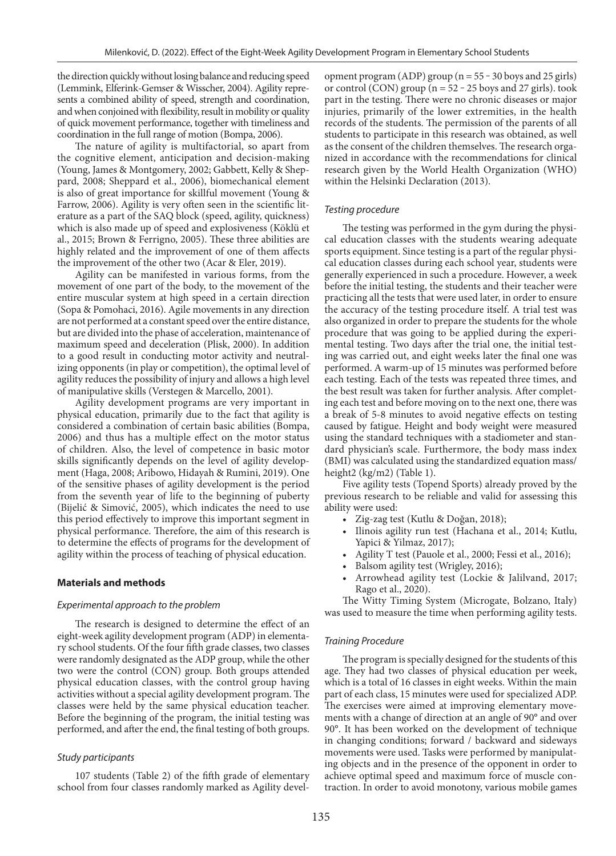the direction quickly without losing balance and reducing speed (Lemmink, Elferink-Gemser & Wisscher, 2004). Agility represents a combined ability of speed, strength and coordination, and when conjoined with flexibility, result in mobility or quality of quick movement performance, together with timeliness and coordination in the full range of motion (Bompa, 2006).

The nature of agility is multifactorial, so apart from the cognitive element, anticipation and decision-making (Young, James & Montgomery, 2002; Gabbett, Kelly & Sheppard, 2008; Sheppard et al., 2006), biomechanical element is also of great importance for skillful movement (Young & Farrow, 2006). Agility is very often seen in the scientific literature as a part of the SAQ block (speed, agility, quickness) which is also made up of speed and explosiveness (Köklü et al., 2015; Brown & Ferrigno, 2005). These three abilities are highly related and the improvement of one of them affects the improvement of the other two (Acar & Eler, 2019).

Agility can be manifested in various forms, from the movement of one part of the body, to the movement of the entire muscular system at high speed in a certain direction (Sopa & Pomohaci, 2016). Agile movements in any direction are not performed at a constant speed over the entire distance, but are divided into the phase of acceleration, maintenance of maximum speed and deceleration (Plisk, 2000). In addition to a good result in conducting motor activity and neutralizing opponents (in play or competition), the optimal level of agility reduces the possibility of injury and allows a high level of manipulative skills (Verstegen & Marcello, 2001).

Agility development programs are very important in physical education, primarily due to the fact that agility is considered a combination of certain basic abilities (Bompa, 2006) and thus has a multiple effect on the motor status of children. Also, the level of competence in basic motor skills significantly depends on the level of agility development (Haga, 2008; Aribowo, Hidayah & Rumini, 2019). One of the sensitive phases of agility development is the period from the seventh year of life to the beginning of puberty (Bijelić & Simović, 2005), which indicates the need to use this period effectively to improve this important segment in physical performance. Therefore, the aim of this research is to determine the effects of programs for the development of agility within the process of teaching of physical education.

## **Materials and methods**

#### *Experimental approach to the problem*

The research is designed to determine the effect of an eight-week agility development program (ADP) in elementary school students. Of the four fifth grade classes, two classes were randomly designated as the ADP group, while the other two were the control (CON) group. Both groups attended physical education classes, with the control group having activities without a special agility development program. The classes were held by the same physical education teacher. Before the beginning of the program, the initial testing was performed, and after the end, the final testing of both groups.

#### *Study participants*

107 students (Table 2) of the fifth grade of elementary school from four classes randomly marked as Agility development program (ADP) group ( $n = 55 - 30$  boys and 25 girls) or control (CON) group ( $n = 52 - 25$  boys and 27 girls). took part in the testing. There were no chronic diseases or major injuries, primarily of the lower extremities, in the health records of the students. The permission of the parents of all students to participate in this research was obtained, as well as the consent of the children themselves. The research organized in accordance with the recommendations for clinical research given by the World Health Organization (WHO) within the Helsinki Declaration (2013).

#### *Testing procedure*

The testing was performed in the gym during the physical education classes with the students wearing adequate sports equipment. Since testing is a part of the regular physical education classes during each school year, students were generally experienced in such a procedure. However, a week before the initial testing, the students and their teacher were practicing all the tests that were used later, in order to ensure the accuracy of the testing procedure itself. A trial test was also organized in order to prepare the students for the whole procedure that was going to be applied during the experimental testing. Two days after the trial one, the initial testing was carried out, and eight weeks later the final one was performed. A warm-up of 15 minutes was performed before each testing. Each of the tests was repeated three times, and the best result was taken for further analysis. After completing each test and before moving on to the next one, there was a break of 5-8 minutes to avoid negative effects on testing caused by fatigue. Height and body weight were measured using the standard techniques with a stadiometer and standard physician's scale. Furthermore, the body mass index (BMI) was calculated using the standardized equation mass/ height2 (kg/m2) (Table 1).

Five agility tests (Topend Sports) already proved by the previous research to be reliable and valid for assessing this ability were used:

- Zig-zag test (Kutlu & Doğan, 2018);
- Ilinois agility run test (Hachana et al., 2014; Kutlu, Yapici & Yilmaz, 2017);
- Agility T test (Pauole et al., 2000; Fessi et al., 2016);
- Balsom agility test (Wrigley, 2016);
- Arrowhead agility test (Lockie & Jalilvand, 2017; Rago et al., 2020).

The Witty Timing System (Microgate, Bolzano, Italy) was used to measure the time when performing agility tests.

#### *Training Procedure*

The program is specially designed for the students of this age. They had two classes of physical education per week, which is a total of 16 classes in eight weeks. Within the main part of each class, 15 minutes were used for specialized ADP. The exercises were aimed at improving elementary movements with a change of direction at an angle of 90° and over 90°. It has been worked on the development of technique in changing conditions; forward / backward and sideways movements were used. Tasks were performed by manipulating objects and in the presence of the opponent in order to achieve optimal speed and maximum force of muscle contraction. In order to avoid monotony, various mobile games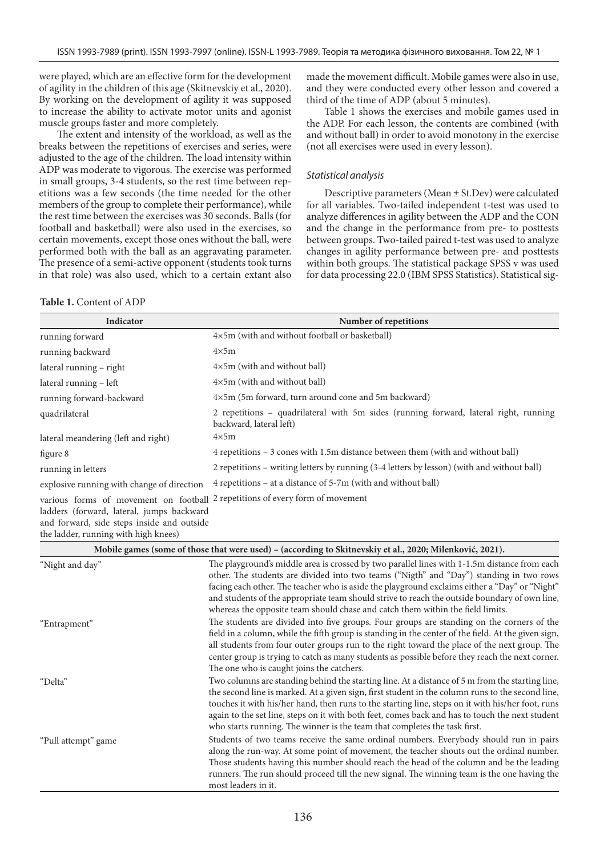were played, which are an effective form for the development of agility in the children of this age (Skitnevskiy et al., 2020). By working on the development of agility it was supposed to increase the ability to activate motor units and agonist muscle groups faster and more completely.

The extent and intensity of the workload, as well as the breaks between the repetitions of exercises and series, were adjusted to the age of the children. The load intensity within ADP was moderate to vigorous. The exercise was performed in small groups, 3-4 students, so the rest time between repetitions was a few seconds (the time needed for the other members of the group to complete their performance), while the rest time between the exercises was 30 seconds. Balls (for football and basketball) were also used in the exercises, so certain movements, except those ones without the ball, were performed both with the ball as an aggravating parameter. The presence of a semi-active opponent (students took turns in that role) was also used, which to a certain extant also

#### **Table 1.** Content of ADP

made the movement difficult. Mobile games were also in use, and they were conducted every other lesson and covered a third of the time of ADP (about 5 minutes).

Table 1 shows the exercises and mobile games used in the ADP. For each lesson, the contents are combined (with and without ball) in order to avoid monotony in the exercise (not all exercises were used in every lesson).

#### *Statistical analysis*

Descriptive parameters (Mean ± St.Dev) were calculated for all variables. Two-tailed independent t-test was used to analyze differences in agility between the ADP and the CON and the change in the performance from pre- to posttests between groups. Two-tailed paired t-test was used to analyze changes in agility performance between pre- and posttests within both groups. The statistical package SPSS v was used for data processing 22.0 (IBM SPSS Statistics). Statistical sig-

| Indicator                                                                                                                                                                                                        | Number of repetitions                                                                                                                                                                                                                                                                                                                                                                                                                                                       |
|------------------------------------------------------------------------------------------------------------------------------------------------------------------------------------------------------------------|-----------------------------------------------------------------------------------------------------------------------------------------------------------------------------------------------------------------------------------------------------------------------------------------------------------------------------------------------------------------------------------------------------------------------------------------------------------------------------|
| running forward                                                                                                                                                                                                  | 4×5m (with and without football or basketball)                                                                                                                                                                                                                                                                                                                                                                                                                              |
| running backward                                                                                                                                                                                                 | $4\times 5m$                                                                                                                                                                                                                                                                                                                                                                                                                                                                |
| lateral running - right                                                                                                                                                                                          | $4\times5m$ (with and without ball)                                                                                                                                                                                                                                                                                                                                                                                                                                         |
| lateral running - left                                                                                                                                                                                           | $4\times5m$ (with and without ball)                                                                                                                                                                                                                                                                                                                                                                                                                                         |
| running forward-backward                                                                                                                                                                                         | 4×5m (5m forward, turn around cone and 5m backward)                                                                                                                                                                                                                                                                                                                                                                                                                         |
| quadrilateral                                                                                                                                                                                                    | 2 repetitions - quadrilateral with 5m sides (running forward, lateral right, running<br>backward, lateral left)                                                                                                                                                                                                                                                                                                                                                             |
| lateral meandering (left and right)                                                                                                                                                                              | $4\times5m$                                                                                                                                                                                                                                                                                                                                                                                                                                                                 |
| figure 8                                                                                                                                                                                                         | 4 repetitions – 3 cones with 1.5m distance between them (with and without ball)                                                                                                                                                                                                                                                                                                                                                                                             |
| running in letters                                                                                                                                                                                               | 2 repetitions - writing letters by running (3-4 letters by lesson) (with and without ball)                                                                                                                                                                                                                                                                                                                                                                                  |
| explosive running with change of direction                                                                                                                                                                       | 4 repetitions – at a distance of 5-7m (with and without ball)                                                                                                                                                                                                                                                                                                                                                                                                               |
| various forms of movement on football 2 repetitions of every form of movement<br>ladders (forward, lateral, jumps backward<br>and forward, side steps inside and outside<br>the ladder, running with high knees) |                                                                                                                                                                                                                                                                                                                                                                                                                                                                             |
|                                                                                                                                                                                                                  | Mobile games (some of those that were used) – (according to Skitnevskiy et al., 2020; Milenković, 2021).                                                                                                                                                                                                                                                                                                                                                                    |
| "Night and day"                                                                                                                                                                                                  | The playground's middle area is crossed by two parallel lines with 1-1.5m distance from each<br>other. The students are divided into two teams ("Nigth" and "Day") standing in two rows<br>facing each other. The teacher who is aside the playground exclaims either a "Day" or "Night"<br>and students of the appropriate team should strive to reach the outside boundary of own line,<br>whereas the opposite team should chase and catch them within the field limits. |
| "Entrapment"                                                                                                                                                                                                     | The students are divided into five groups. Four groups are standing on the corners of the<br>field in a column, while the fifth group is standing in the center of the field. At the given sign,                                                                                                                                                                                                                                                                            |

field in a column, while the fifth group is standing in the center of the field. At the given sign, all students from four outer groups run to the right toward the place of the next group. The center group is trying to catch as many students as possible before they reach the next corner. The one who is caught joins the catchers.

## "Delta" Two columns are standing behind the starting line. At a distance of 5 m from the starting line, the second line is marked. At a given sign, first student in the column runs to the second line, touches it with his/her hand, then runs to the starting line, steps on it with his/her foot, runs again to the set line, steps on it with both feet, comes back and has to touch the next student who starts running. The winner is the team that completes the task first.

"Pull attempt" game Students of two teams receive the same ordinal numbers. Everybody should run in pairs along the run-way. At some point of movement, the teacher shouts out the ordinal number. Those students having this number should reach the head of the column and be the leading runners. The run should proceed till the new signal. The winning team is the one having the most leaders in it.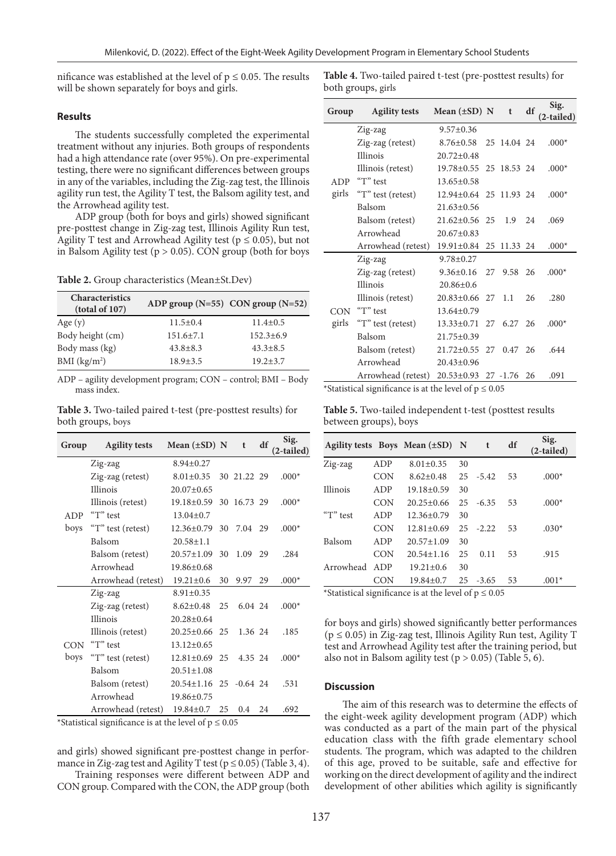nificance was established at the level of  $p \le 0.05$ . The results will be shown separately for boys and girls.

## **Results**

The students successfully completed the experimental treatment without any injuries. Both groups of respondents had a high attendance rate (over 95%). On pre-experimental testing, there were no significant differences between groups in any of the variables, including the Zig-zag test, the Illinois agility run test, the Agility T test, the Balsom agility test, and the Arrowhead agility test.

ADP group (both for boys and girls) showed significant pre-posttest change in Zig-zag test, Illinois Agility Run test, Agility T test and Arrowhead Agility test ( $p \le 0.05$ ), but not in Balsom Agility test ( $p > 0.05$ ). CON group (both for boys

**Table 2.** Group characteristics (Mean±St.Dev)

| Characteristics<br>(total of 107) |                 | ADP group $(N=55)$ CON group $(N=52)$ |
|-----------------------------------|-----------------|---------------------------------------|
| Age $(y)$                         | $11.5 \pm 0.4$  | $11.4 \pm 0.5$                        |
| Body height (cm)                  | $151.6 \pm 7.1$ | $152.3 \pm 6.9$                       |
| Body mass (kg)                    | $43.8 \pm 8.3$  | $43.3 \pm 8.5$                        |
| BMI (kg/m <sup>2</sup> )          | $18.9 \pm 3.5$  | $19.2 + 3.7$                          |

ADP – agility development program; CON – control; BMI – Body mass index.

**Table 3.** Two-tailed paired t-test (pre-posttest results) for both groups, boys

| Group                                                      | <b>Agility tests</b>               | Mean $(\pm SD)$ N            |    | t           | df | Sig.<br>(2-tailed) |
|------------------------------------------------------------|------------------------------------|------------------------------|----|-------------|----|--------------------|
|                                                            | Zig-zag                            | $8.94 \pm 0.27$              |    |             |    |                    |
|                                                            | Zig-zag (retest)                   | $8.01 \pm 0.35$              |    | 30 21.22 29 |    | $.000*$            |
|                                                            | Illinois                           | $20.07 \pm 0.65$             |    |             |    |                    |
|                                                            | Illinois (retest)                  | $19.18 \pm 0.59$             |    | 30 16.73 29 |    | $.000*$            |
| ADP                                                        | "T" test                           | $13.04 \pm 0.7$              |    |             |    |                    |
| boys                                                       | "T" test (retest)                  | 12.36±0.79 30                |    | 7.04 29     |    | $.000*$            |
|                                                            | Balsom                             | $20.58 \pm 1.1$              |    |             |    |                    |
|                                                            | Balsom (retest)                    | $20.57 \pm 1.09$             | 30 | 1.09        | 29 | .284               |
|                                                            | Arrowhead                          | $19.86 \pm 0.68$             |    |             |    |                    |
|                                                            | Arrowhead (retest)                 | $19.21 \pm 0.6$              | 30 | 9.97 29     |    | $.000*$            |
|                                                            | Zig-zag                            | $8.91 \pm 0.35$              |    |             |    |                    |
|                                                            | Zig-zag (retest)                   | $8.62 \pm 0.48$              | 25 | 6.04 24     |    | $.000*$            |
|                                                            | Illinois                           | $20.28 \pm 0.64$             |    |             |    |                    |
|                                                            | Illinois (retest)                  | $20.25 \pm 0.66$ 25          |    | 1.36 24     |    | .185               |
| <b>CON</b>                                                 | " $T$ " test                       | $13.12 \pm 0.65$             |    |             |    |                    |
| boys                                                       | "T" test (retest)                  | $12.81 \pm 0.69$ 25          |    | 4.35 24     |    | $.000*$            |
|                                                            | Balsom                             | $20.51 \pm 1.08$             |    |             |    |                    |
|                                                            | Balsom (retest)                    | $20.54 \pm 1.16$ 25 -0.64 24 |    |             |    | .531               |
|                                                            | Arrowhead                          | $19.86 \pm 0.75$             |    |             |    |                    |
|                                                            | Arrowhead (retest) $19.84 \pm 0.7$ |                              | 25 | $0.4\,$     | 24 | .692               |
| *Statistical significance is at the level of $p \leq 0.05$ |                                    |                              |    |             |    |                    |

and girls) showed significant pre-posttest change in performance in Zig-zag test and Agility T test ( $p \le 0.05$ ) (Table 3, 4).

Training responses were different between ADP and CON group. Compared with the CON, the ADP group (both **Table 4.** Two-tailed paired t-test (pre-posttest results) for both groups, girls

| Group               | <b>Agility tests</b> | Mean $(\pm SD)$ N            |  | t           | df | Sig.<br>(2-tailed) |
|---------------------|----------------------|------------------------------|--|-------------|----|--------------------|
|                     | Zig-zag              | $9.57 \pm 0.36$              |  |             |    |                    |
|                     | Zig-zag (retest)     | $8.76 \pm 0.58$              |  | 25 14.04 24 |    | $.000*$            |
|                     | Illinois             | $20.72 \pm 0.48$             |  |             |    |                    |
|                     | Illinois (retest)    | 19.78±0.55 25 18.53 24       |  |             |    | $.000*$            |
| ADP                 | "T" test             | $13.65 \pm 0.58$             |  |             |    |                    |
| girls               | "T" test (retest)    | 12.94±0.64 25 11.93 24       |  |             |    | $.000*$            |
|                     | Balsom               | $21.63 \pm 0.56$             |  |             |    |                    |
|                     | Balsom (retest)      | $21.62 \pm 0.56$ 25 1.9      |  |             | 24 | .069               |
|                     | Arrowhead            | $20.67 \pm 0.83$             |  |             |    |                    |
|                     | Arrowhead (retest)   | 19.91±0.84 25 11.33 24       |  |             |    | $.000*$            |
|                     | Zig-zag              | $9.78 \pm 0.27$              |  |             |    |                    |
|                     | Zig-zag (retest)     | $9.36 \pm 0.16$ 27 $9.58$ 26 |  |             |    | $.000*$            |
|                     | Illinois             | $20.86 \pm 0.6$              |  |             |    |                    |
|                     | Illinois (retest)    | $20.83 \pm 0.66$ 27          |  | 1.1         | 26 | .280               |
| <b>CON</b><br>girls | "T" test             | $13.64 \pm 0.79$             |  |             |    |                    |
|                     | "T" test (retest)    | 13.33±0.71 27 6.27 26        |  |             |    | $.000*$            |
|                     | Balsom               | $21.75 \pm 0.39$             |  |             |    |                    |
|                     | Balsom (retest)      | $21.72 \pm 0.55$ 27 0.47 26  |  |             |    | .644               |
|                     | Arrowhead            | $20.43 \pm 0.96$             |  |             |    |                    |
|                     | Arrowhead (retest)   | $20.53 \pm 0.93$ 27 -1.76    |  |             | 26 | .091               |

\*Statistical significance is at the level of  $p \le 0.05$ 

**Table 5.** Two-tailed independent t-test (posttest results between groups), boys

|     |                  |    | t                                    | df | Sig.<br>$(2-tailed)$ |
|-----|------------------|----|--------------------------------------|----|----------------------|
| ADP | $8.01 \pm 0.35$  | 30 |                                      |    |                      |
| CON | $8.62 \pm 0.48$  | 25 | $-5.42$                              | 53 | $.000*$              |
| ADP | $19.18 \pm 0.59$ | 30 |                                      |    |                      |
| CON | $20.25 \pm 0.66$ | 25 | $-6.35$                              | 53 | $.000*$              |
| ADP | $12.36 \pm 0.79$ | 30 |                                      |    |                      |
| CON | $12.81 \pm 0.69$ | 25 | $-2.22$                              | 53 | $.030*$              |
| ADP | $20.57 \pm 1.09$ | 30 |                                      |    |                      |
| CON | $20.54 \pm 1.16$ | 25 | 0.11                                 | 53 | .915                 |
| ADP | $19.21 \pm 0.6$  | 30 |                                      |    |                      |
| CON | $19.84 \pm 0.7$  | 25 | $-3.65$                              | 53 | $.001*$              |
|     |                  |    | Agility tests Boys Mean $(\pm SD)$ N |    |                      |

\*Statistical significance is at the level of  $p \le 0.05$ 

for boys and girls) showed significantly better performances  $(p \le 0.05)$  in Zig-zag test, Illinois Agility Run test, Agility T test and Arrowhead Agility test after the training period, but also not in Balsom agility test ( $p > 0.05$ ) (Table 5, 6).

#### **Discussion**

The aim of this research was to determine the effects of the eight-week agility development program (ADP) which was conducted as a part of the main part of the physical education class with the fifth grade elementary school students. The program, which was adapted to the children of this age, proved to be suitable, safe and effective for working on the direct development of agility and the indirect development of other abilities which agility is significantly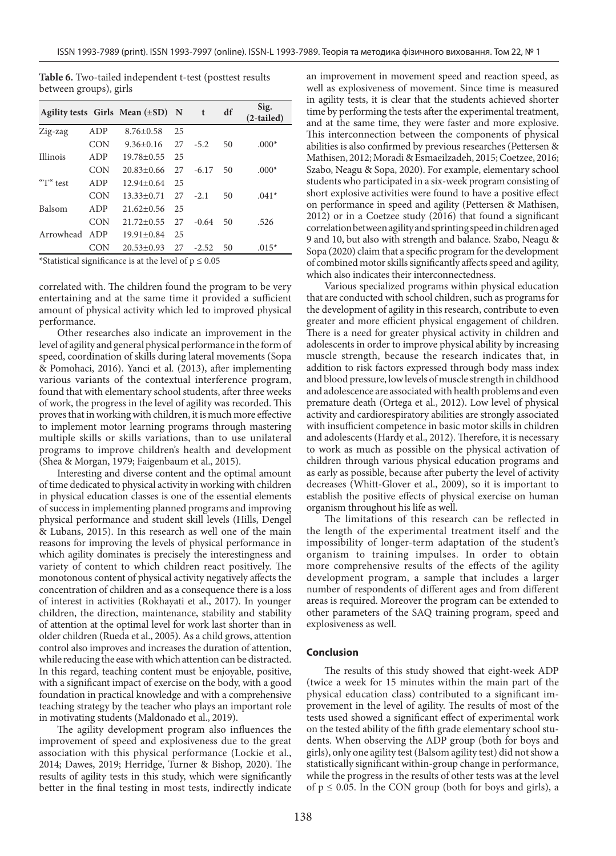|              |            | Agility tests Girls Mean $(\pm SD)$ N |    | t       | df | Sig.<br>$(2-tailed)$ |
|--------------|------------|---------------------------------------|----|---------|----|----------------------|
| $Zig$ -zag   | ADP        | $8.76 \pm 0.58$                       | 25 |         |    |                      |
|              | CON        | $9.36 \pm 0.16$                       | 27 | $-5.2$  | 50 | $.000*$              |
| Illinois     | ADP        | $19.78 \pm 0.55$                      | 25 |         |    |                      |
|              | CON        | $20.83 + 0.66$                        | 27 | $-6.17$ | 50 | $.000*$              |
| " $T$ " test | ADP        | $12.94 + 0.64$                        | 25 |         |    |                      |
|              | <b>CON</b> | $13.33 \pm 0.71$                      | 27 | $-2.1$  | 50 | $.041*$              |
| Balsom       | ADP        | $21.62 \pm 0.56$                      | 25 |         |    |                      |
|              | <b>CON</b> | $21.72 \pm 0.55$                      | 27 | $-0.64$ | 50 | .526                 |
| Arrowhead    | ADP        | $19.91 \pm 0.84$                      | 25 |         |    |                      |
|              | CON        | $20.53 \pm 0.93$                      | 27 | $-2.52$ | 50 | $.015*$              |

**Table 6.** Two-tailed independent t-test (posttest results between groups), girls

\*Statistical significance is at the level of  $p \le 0.05$ 

correlated with. The children found the program to be very entertaining and at the same time it provided a sufficient amount of physical activity which led to improved physical performance.

Other researches also indicate an improvement in the level of agility and general physical performance in the form of speed, coordination of skills during lateral movements (Sopa & Pomohaci, 2016). Yanci et al. (2013), after implementing various variants of the contextual interference program, found that with elementary school students, after three weeks of work, the progress in the level of agility was recorded. This proves that in working with children, it is much more effective to implement motor learning programs through mastering multiple skills or skills variations, than to use unilateral programs to improve children's health and development (Shea & Morgan, 1979; Faigenbaum et al., 2015).

Interesting and diverse content and the optimal amount of time dedicated to physical activity in working with children in physical education classes is one of the essential elements of success in implementing planned programs and improving physical performance and student skill levels (Hills, Dengel & Lubans, 2015). In this research as well one of the main reasons for improving the levels of physical performance in which agility dominates is precisely the interestingness and variety of content to which children react positively. The monotonous content of physical activity negatively affects the concentration of children and as a consequence there is a loss of interest in activities (Rokhayati et al., 2017). In younger children, the direction, maintenance, stability and stability of attention at the optimal level for work last shorter than in older children (Rueda et al., 2005). As a child grows, attention control also improves and increases the duration of attention, while reducing the ease with which attention can be distracted. In this regard, teaching content must be enjoyable, positive, with a significant impact of exercise on the body, with a good foundation in practical knowledge and with a comprehensive teaching strategy by the teacher who plays an important role in motivating students (Maldonado et al., 2019).

The agility development program also influences the improvement of speed and explosiveness due to the great association with this physical performance (Lockie et al., 2014; Dawes, 2019; Herridge, Turner & Bishop, 2020). The results of agility tests in this study, which were significantly better in the final testing in most tests, indirectly indicate

an improvement in movement speed and reaction speed, as well as explosiveness of movement. Since time is measured in agility tests, it is clear that the students achieved shorter time by performing the tests after the experimental treatment, and at the same time, they were faster and more explosive. This interconnection between the components of physical abilities is also confirmed by previous researches (Pettersen & Mathisen, 2012; Moradi & Esmaeilzadeh, 2015; Coetzee, 2016; Szabo, Neagu & Sopa, 2020). For example, elementary school students who participated in a six-week program consisting of short explosive activities were found to have a positive effect on performance in speed and agility (Pettersen & Mathisen, 2012) or in a Coetzee study (2016) that found a significant correlation between agility and sprinting speed in children aged 9 and 10, but also with strength and balance. Szabo, Neagu & Sopa (2020) claim that a specific program for the development of combined motor skills significantly affects speed and agility, which also indicates their interconnectedness.

Various specialized programs within physical education that are conducted with school children, such as programs for the development of agility in this research, contribute to even greater and more efficient physical engagement of children. There is a need for greater physical activity in children and adolescents in order to improve physical ability by increasing muscle strength, because the research indicates that, in addition to risk factors expressed through body mass index and blood pressure, low levels of muscle strength in childhood and adolescence are associated with health problems and even premature death (Ortega et al., 2012). Low level of physical activity and cardiorespiratory abilities are strongly associated with insufficient competence in basic motor skills in children and adolescents (Hardy et al., 2012). Therefore, it is necessary to work as much as possible on the physical activation of children through various physical education programs and as early as possible, because after puberty the level of activity decreases (Whitt-Glover et al., 2009), so it is important to establish the positive effects of physical exercise on human organism throughout his life as well.

The limitations of this research can be reflected in the length of the experimental treatment itself and the impossibility of longer-term adaptation of the student's organism to training impulses. In order to obtain more comprehensive results of the effects of the agility development program, a sample that includes a larger number of respondents of different ages and from different areas is required. Moreover the program can be extended to other parameters of the SAQ training program, speed and explosiveness as well.

#### **Conclusion**

The results of this study showed that eight-week ADP (twice a week for 15 minutes within the main part of the physical education class) contributed to a significant improvement in the level of agility. The results of most of the tests used showed a significant effect of experimental work on the tested ability of the fifth grade elementary school students. When observing the ADP group (both for boys and girls), only one agility test (Balsom agility test) did not show a statistically significant within-group change in performance, while the progress in the results of other tests was at the level of  $p \le 0.05$ . In the CON group (both for boys and girls), a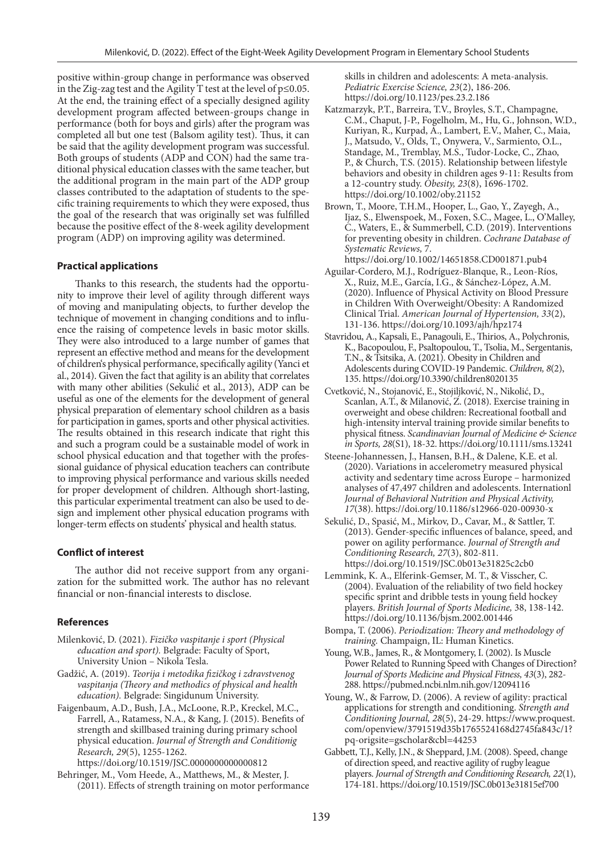positive within-group change in performance was observed in the Zig-zag test and the Agility T test at the level of  $p \le 0.05$ . At the end, the training effect of a specially designed agility development program affected between-groups change in performance (both for boys and girls) after the program was completed all but one test (Balsom agility test). Thus, it can be said that the agility development program was successful. Both groups of students (ADP and CON) had the same traditional physical education classes with the same teacher, but the additional program in the main part of the ADP group classes contributed to the adaptation of students to the specific training requirements to which they were exposed, thus the goal of the research that was originally set was fulfilled because the positive effect of the 8-week agility development program (ADP) on improving agility was determined.

#### **Practical applications**

Thanks to this research, the students had the opportunity to improve their level of agility through different ways of moving and manipulating objects, to further develop the technique of movement in changing conditions and to influence the raising of competence levels in basic motor skills. They were also introduced to a large number of games that represent an effective method and means for the development of children's physical performance, specifically agility (Yanci et al., 2014). Given the fact that agility is an ability that correlates with many other abilities (Sekulić et al., 2013), ADP can be useful as one of the elements for the development of general physical preparation of elementary school children as a basis for participation in games, sports and other physical activities. The results obtained in this research indicate that right this and such a program could be a sustainable model of work in school physical education and that together with the professional guidance of physical education teachers can contribute to improving physical performance and various skills needed for proper development of children. Although short-lasting, this particular experimental treatment can also be used to design and implement other physical education programs with longer-term effects on students' physical and health status.

# **Conflict of interest**

The author did not receive support from any organization for the submitted work. The author has no relevant financial or non-financial interests to disclose.

## **References**

- Milenković, D. (2021). *Fizičko vaspitanje i sport (Physical education and sport).* Belgrade: Faculty of Sport, University Union – Nikola Tesla.
- Gadžić, A. (2019). *Teorija i metodika fizičkog i zdravstvenog vaspitanja (Theory and methodics of physical and health education).* Belgrade: Singidunum University.
- Faigenbaum, A.D., Bush, J.A., McLoone, R.P., Kreckel, M.C., Farrell, A., Ratamess, N.A., & Kang, J. (2015). Benefits of strength and skillbased training during primary school physical education. *Journal of Strength and Conditionig Research, 29*(5), 1255-1262.

https://doi.org/10.1519/JSC.0000000000000812

Behringer, M., Vom Heede, A., Matthews, M., & Mester, J. (2011). Effects of strength training on motor performance

skills in children and adolescents: A meta-analysis. *Pediatric Exercise Science, 23*(2), 186-206. https://doi.org/10.1123/pes.23.2.186

- Katzmarzyk, P.T., Barreira, T.V., Broyles, S.T., Champagne, C.M., Chaput, J-P., Fogelholm, M., Hu, G., Johnson, W.D., Kuriyan, R., Kurpad, A., Lambert, E.V., Maher, C., Maia, J., Matsudo, V., Olds, T., Onywera, V., Sarmiento, O.L., Standage, M., Tremblay, M.S., Tudor-Locke, C., Zhao, P., & Church, T.S. (2015). Relationship between lifestyle behaviors and obesity in children ages 9-11: Results from a 12-country study. *Obesity, 23*(8), 1696-1702. https://doi.org/10.1002/oby.21152
- Brown, T., Moore, T.H.M., Hooper, L., Gao, Y., Zayegh, A., Ijaz, S., Elwenspoek, M., Foxen, S.C., Magee, L., O'Malley, C., Waters, E., & Summerbell, C.D. (2019). Interventions for preventing obesity in children. *Cochrane Database of Systematic Reviews,* 7. https://doi.org/10.1002/14651858.CD001871.pub4
- Aguilar-Cordero, M.J., Rodríguez-Blanque, R., Leon-Ríos, X., Ruiz, M.E., García, I.G., & Sánchez-López, A.M.
- (2020). Influence of Physical Activity on Blood Pressure in Children With Overweight/Obesity: A Randomized Clinical Trial. *American Journal of Hypertension, 33*(2), 131-136. https://doi.org/10.1093/ajh/hpz174
- Stavridou, A., Kapsali, E., Panagouli, E., Thirios, A., Polychronis, K., Bacopoulou, F., Psaltopoulou, T., Tsolia, M., Sergentanis, T.N., & Tsitsika, A. (2021). Obesity in Children and Adolescents during COVID-19 Pandemic. *Children, 8*(2), 135. https://doi.org/10.3390/children8020135
- Cvetković, N., Stojanović, E., Stojiljković, N., Nikolić, D., Scanlan, A.T., & Milanović, Z. (2018). Exercise training in overweight and obese children: Recreational football and high-intensity interval training provide similar benefits to physical fitness. *Scandinavian Journal of Medicine & Science in Sports, 28*(S1), 18-32. https://doi.org/10.1111/sms.13241
- Steene-Johannessen, J., Hansen, B.H., & Dalene, K.E. et al. (2020). Variations in accelerometry measured physical activity and sedentary time across Europe – harmonized analyses of 47,497 children and adolescents. Internationl *Journal of Behavioral Nutrition and Physical Activity, 17*(38). https://doi.org/10.1186/s12966-020-00930-x
- Sekulić, D., Spasić, M., Mirkov, D., Cavar, M., & Sattler, T. (2013). Gender-specific influences of balance, speed, and power on agility performance. *Journal of Strength and Conditioning Research, 27*(3), 802-811. https://doi.org/10.1519/JSC.0b013e31825c2cb0
- Lemmink, K. A., Elferink-Gemser, M. T., & Visscher, C. (2004). Evaluation of the reliability of two field hockey specific sprint and dribble tests in young field hockey players. *British Journal of Sports Medicine,* 38, 138-142. https://doi.org/10.1136/bjsm.2002.001446
- Bompa, T. (2006). *Periodization: Theory and methodology of training.* Champaign, IL: Human Kinetics.
- Young, W.B., James, R., & Montgomery, I. (2002). Is Muscle Power Related to Running Speed with Changes of Direction? *Journal of Sports Medicine and Physical Fitness, 43*(3), 282- 288. https://pubmed.ncbi.nlm.nih.gov/12094116
- Young, W., & Farrow, D. (2006). A review of agility: practical applications for strength and conditioning. *Strength and Conditioning Journal, 28*(5), 24-29. https://www.proquest. com/openview/3791519d35b1765524168d2745fa843c/1? pq-origsite=gscholar&cbl=44253
- Gabbett, T.J., Kelly, J.N., & Sheppard, J.M. (2008). Speed, change of direction speed, and reactive agility of rugby league players. *Journal of Strength and Conditioning Research, 22*(1), 174-181. https://doi.org/10.1519/JSC.0b013e31815ef700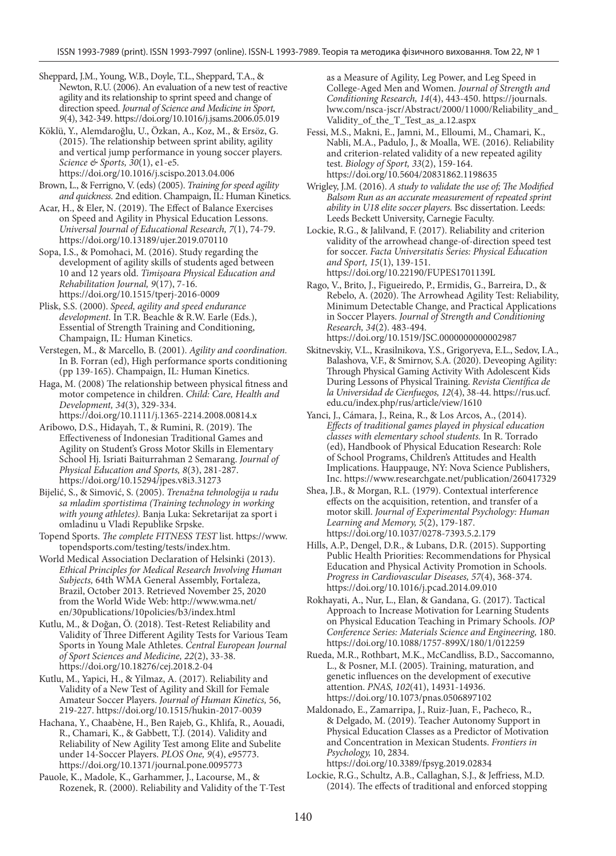Sheppard, J.M., Young, W.B., Doyle, T.L., Sheppard, T.A., & Newton, R.U. (2006). An evaluation of a new test of reactive agility and its relationship to sprint speed and change of direction speed. *Journal of Science and Medicine in Sport, 9*(4), 342-349. https://doi.org/10.1016/j.jsams.2006.05.019

Köklü, Y., Alemdaroğlu, U., Özkan, A., Koz, M., & Ersöz, G. (2015). The relationship between sprint ability, agility and vertical jump performance in young soccer players. *Science & Sports, 30*(1), e1-e5. https://doi.org/10.1016/j.scispo.2013.04.006

Brown, L., & Ferrigno, V. (eds) (2005). *Training for speed agility and quickness.* 2nd edition. Champaign, IL: Human Kinetics.

Acar, H., & Eler, N. (2019). The Effect of Balance Exercises on Speed and Agility in Physical Education Lessons. *Universal Journal of Educational Research, 7*(1), 74-79. https://doi.org/10.13189/ujer.2019.070110

Sopa, I.S., & Pomohaci, M. (2016). Study regarding the development of agility skills of students aged between 10 and 12 years old. *Timişoara Physical Education and Rehabilitation Journal, 9*(17), 7-16. https://doi.org/10.1515/tperj-2016-0009

Plisk, S.S. (2000). *Speed, agility and speed endurance development.* In T.R. Beachle & R.W. Earle (Eds.), Essential of Strength Training and Conditioning, Champaign, IL: Human Kinetics.

Verstegen, M., & Marcello, B. (2001). *Agility and coordination.*  In B. Forran (ed), High performance sports conditioning (pp 139-165). Champaign, IL: Human Kinetics.

Haga, M. (2008) The relationship between physical fitness and motor competence in children. *Child: Care, Health and Development, 34*(3), 329-334. https://doi.org/10.1111/j.1365-2214.2008.00814.x

Aribowo, D.S., Hidayah, T., & Rumini, R. (2019). The Effectiveness of Indonesian Traditional Games and Agility on Student's Gross Motor Skills in Elementary School Hj. Isriati Baiturrahman 2 Semarang. *Journal of Physical Education and Sports, 8*(3), 281-287. https://doi.org/10.15294/jpes.v8i3.31273

Bijelić, S., & Simović, S. (2005). *Trenažna tehnologija u radu sa mladim sportistima (Training technology in working with young athletes).* Banja Luka: Sekretarijat za sport i omladinu u Vladi Republike Srpske.

Topend Sports. *The complete FITNESS TEST* list. https://www. topendsports.com/testing/tests/index.htm.

World Medical Association Declaration of Helsinki (2013). *Ethical Principles for Medical Research Involving Human Subjects,* 64th WMA General Assembly, Fortaleza, Brazil, October 2013. Retrieved November 25, 2020 from the World Wide Web: http://www.wma.net/ en/30publications/10policies/b3/index.html

Kutlu, M., & Doğan, Ö. (2018). Test-Retest Reliability and Validity of Three Different Agility Tests for Various Team Sports in Young Male Athletes. *Central European Journal of Sport Sciences and Medicine, 22*(2), 33-38. https://doi.org/10.18276/cej.2018.2-04

Kutlu, M., Yapici, H., & Yilmaz, A. (2017). Reliability and Validity of a New Test of Agility and Skill for Female Amateur Soccer Players. *Journal of Human Kinetics,* 56, 219-227. https://doi.org/10.1515/hukin-2017-0039

Hachana, Y., Chaabène, H., Ben Rajeb, G., Khlifa, R., Aouadi, R., Chamari, K., & Gabbett, T.J. (2014). Validity and Reliability of New Agility Test among Elite and Subelite under 14-Soccer Players. *PLOS One, 9*(4), e95773. https://doi.org/10.1371/journal.pone.0095773

Pauole, K., Madole, K., Garhammer, J., Lacourse, M., & Rozenek, R. (2000). Reliability and Validity of the T-Test as a Measure of Agility, Leg Power, and Leg Speed in College-Aged Men and Women. *Journal of Strength and Conditioning Research, 14*(4), 443-450. https://journals. lww.com/nsca-jscr/Abstract/2000/11000/Reliability\_and\_ Validity\_of\_the\_T\_Test\_as\_a.12.aspx

Fessi, M.S., Makni, E., Jamni, M., Elloumi, M., Chamari, K., Nabli, M.A., Padulo, J., & Moalla, WE. (2016). Reliability and criterion-related validity of a new repeated agility test. *Biology of Sport, 33*(2), 159-164. https://doi.org/10.5604/20831862.1198635

Wrigley, J.M. (2016). *A study to validate the use of; The Modified Balsom Run as an accurate measurement of repeated sprint ability in U18 elite soccer players.* Bsc dissertation. Leeds: Leeds Beckett University, Carnegie Faculty.

Lockie, R.G., & Jalilvand, F. (2017). Reliability and criterion validity of the arrowhead change-of-direction speed test for soccer. *Facta Universitatis Series: Physical Education and Sport, 15*(1), 139-151. https://doi.org/10.22190/FUPES1701139L

Rago, V., Brito, J., Figueiredo, P., Ermidis, G., Barreira, D., & Rebelo, A. (2020). The Arrowhead Agility Test: Reliability, Minimum Detectable Change, and Practical Applications in Soccer Players. *Journal of Strength and Conditioning Research, 34*(2). 483-494. https://doi.org/10.1519/JSC.0000000000002987

Skitnevskiy, V.L., Krasilnikova, Y.S., Grigoryeva, E.L., Sedov, I.A., Balashova, V.F., & Smirnov, S.A. (2020). Deveoping Agility: Through Physical Gaming Activity With Adolescent Kids During Lessons of Physical Training. *Revista Científica de la Universidad de Cienfuegos, 12*(4), 38-44. https://rus.ucf. edu.cu/index.php/rus/article/view/1610

Yanci, J., Cámara, J., Reina, R., & Los Arcos, A., (2014). *Effects of traditional games played in physical education classes with elementary school students.* In R. Torrado (ed), Handbook of Physical Education Research: Role of School Programs, Children's Attitudes and Health Implications. Hauppauge, NY: Nova Science Publishers, Inc. https://www.researchgate.net/publication/260417329

Shea, J.B., & Morgan, R.L. (1979). Contextual interference effects on the acquisition, retention, and transfer of a motor skill. *Journal of Experimental Psychology: Human Learning and Memory, 5*(2), 179-187. https://doi.org/10.1037/0278-7393.5.2.179

Hills, A.P., Dengel, D.R., & Lubans, D.R. (2015). Supporting Public Health Priorities: Recommendations for Physical Education and Physical Activity Promotion in Schools. *Progress in Cardiovascular Diseases, 57*(4), 368-374. https://doi.org/10.1016/j.pcad.2014.09.010

Rokhayati, A., Nur, L., Elan, & Gandana, G. (2017). Tactical Approach to Increase Motivation for Learning Students on Physical Education Teaching in Primary Schools. *IOP Conference Series: Materials Science and Engineering,* 180. https://doi.org/10.1088/1757-899X/180/1/012259

Rueda, M.R., Rothbart, M.K., McCandliss, B.D., Saccomanno, L., & Posner, M.I. (2005). Training, maturation, and genetic influences on the development of executive attention. *PNAS, 102*(41), 14931-14936. https://doi.org/10.1073/pnas.0506897102

Maldonado, E., Zamarripa, J., Ruiz-Juan, F., Pacheco, R., & Delgado, M. (2019). Teacher Autonomy Support in Physical Education Classes as a Predictor of Motivation and Concentration in Mexican Students. *Frontiers in Psychology,* 10, 2834. https://doi.org/10.3389/fpsyg.2019.02834

Lockie, R.G., Schultz, A.B., Callaghan, S.J., & Jeffriess, M.D. (2014). The effects of traditional and enforced stopping